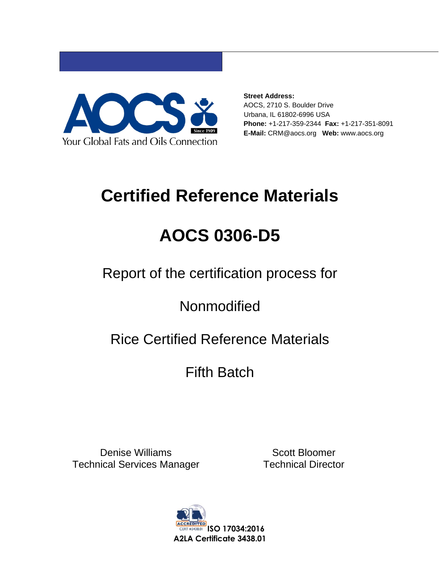

**Street Address:** AOCS, 2710 S. Boulder Drive Urbana, IL 61802-6996 USA **Phone:** +1-217-359-2344 **Fax:** +1-217-351-8091 **E-Mail:** CRM@aocs.org **Web:** www.aocs.org

# **Certified Reference Materials**

# **AOCS 0306-D5**

Report of the certification process for

**Nonmodified** 

## Rice Certified Reference Materials

## Fifth Batch

Denise Williams Technical Services Manager

Scott Bloomer Technical Director

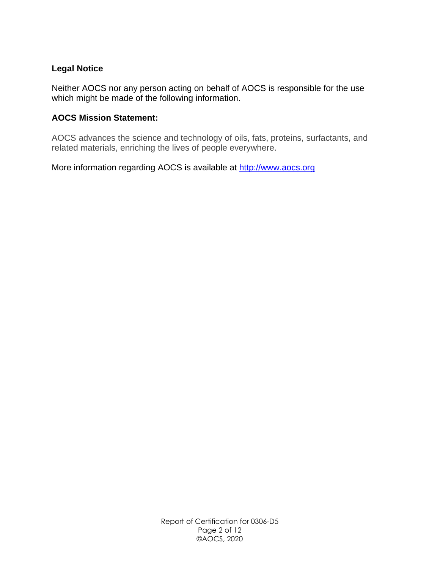#### **Legal Notice**

Neither AOCS nor any person acting on behalf of AOCS is responsible for the use which might be made of the following information.

#### **AOCS Mission Statement:**

AOCS advances the science and technology of oils, fats, proteins, surfactants, and related materials, enriching the lives of people everywhere.

More information regarding AOCS is available at http://www.aocs.org

Report of Certification for 0306-D5 Page 2 of 12 ©AOCS, 2020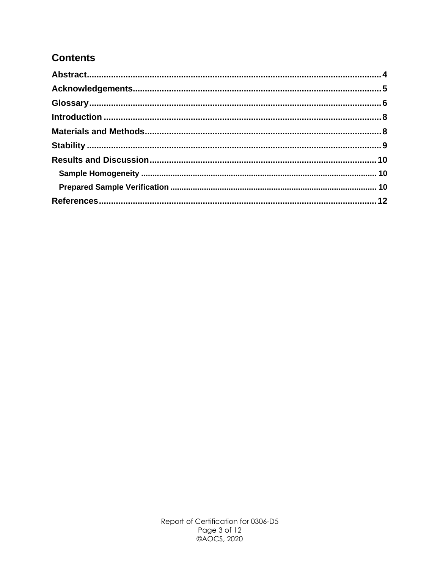#### **Contents**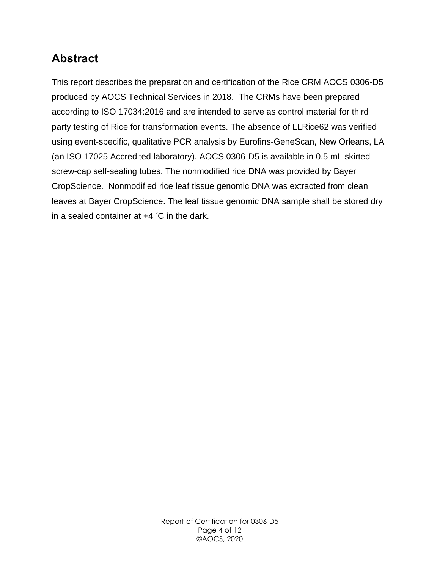## <span id="page-3-0"></span>**Abstract**

This report describes the preparation and certification of the Rice CRM AOCS 0306-D5 produced by AOCS Technical Services in 2018. The CRMs have been prepared according to ISO 17034:2016 and are intended to serve as control material for third party testing of Rice for transformation events. The absence of LLRice62 was verified using event-specific, qualitative PCR analysis by Eurofins-GeneScan, New Orleans, LA (an ISO 17025 Accredited laboratory). AOCS 0306-D5 is available in 0.5 mL skirted screw-cap self-sealing tubes. The nonmodified rice DNA was provided by Bayer CropScience. Nonmodified rice leaf tissue genomic DNA was extracted from clean leaves at Bayer CropScience. The leaf tissue genomic DNA sample shall be stored dry in a sealed container at +4 °C in the dark.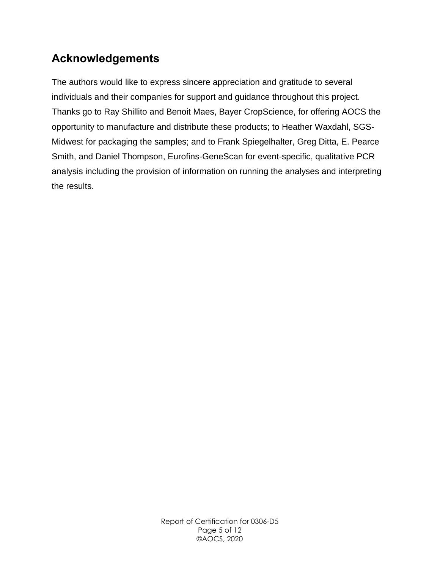## <span id="page-4-0"></span>**Acknowledgements**

The authors would like to express sincere appreciation and gratitude to several individuals and their companies for support and guidance throughout this project. Thanks go to Ray Shillito and Benoit Maes, Bayer CropScience, for offering AOCS the opportunity to manufacture and distribute these products; to Heather Waxdahl, SGS-Midwest for packaging the samples; and to Frank Spiegelhalter, Greg Ditta, E. Pearce Smith, and Daniel Thompson, Eurofins-GeneScan for event-specific, qualitative PCR analysis including the provision of information on running the analyses and interpreting the results.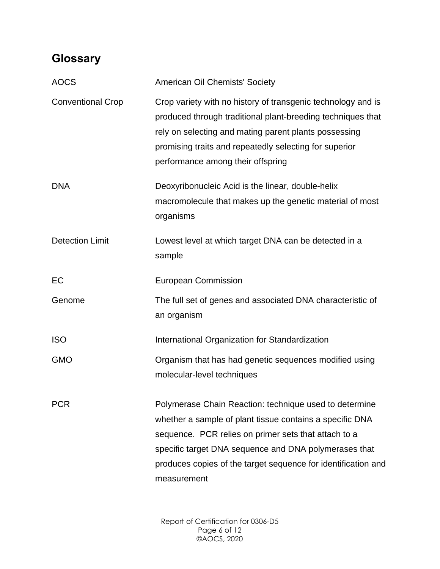## <span id="page-5-0"></span>**Glossary**

| <b>American Oil Chemists' Society</b>                                                                                                                                                                                                                                                                               |
|---------------------------------------------------------------------------------------------------------------------------------------------------------------------------------------------------------------------------------------------------------------------------------------------------------------------|
| Crop variety with no history of transgenic technology and is<br>produced through traditional plant-breeding techniques that<br>rely on selecting and mating parent plants possessing<br>promising traits and repeatedly selecting for superior<br>performance among their offspring                                 |
| Deoxyribonucleic Acid is the linear, double-helix<br>macromolecule that makes up the genetic material of most<br>organisms                                                                                                                                                                                          |
| Lowest level at which target DNA can be detected in a<br>sample                                                                                                                                                                                                                                                     |
| <b>European Commission</b>                                                                                                                                                                                                                                                                                          |
| The full set of genes and associated DNA characteristic of<br>an organism                                                                                                                                                                                                                                           |
| International Organization for Standardization                                                                                                                                                                                                                                                                      |
| Organism that has had genetic sequences modified using<br>molecular-level techniques                                                                                                                                                                                                                                |
| Polymerase Chain Reaction: technique used to determine<br>whether a sample of plant tissue contains a specific DNA<br>sequence. PCR relies on primer sets that attach to a<br>specific target DNA sequence and DNA polymerases that<br>produces copies of the target sequence for identification and<br>measurement |
|                                                                                                                                                                                                                                                                                                                     |

Report of Certification for 0306-D5 Page 6 of 12 ©AOCS, 2020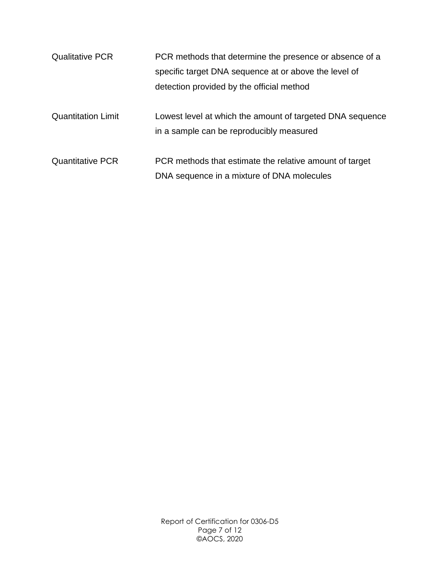| <b>Qualitative PCR</b>    | PCR methods that determine the presence or absence of a   |
|---------------------------|-----------------------------------------------------------|
|                           | specific target DNA sequence at or above the level of     |
|                           | detection provided by the official method                 |
|                           |                                                           |
| <b>Quantitation Limit</b> | Lowest level at which the amount of targeted DNA sequence |
|                           | in a sample can be reproducibly measured                  |
|                           |                                                           |
| <b>Quantitative PCR</b>   | PCR methods that estimate the relative amount of target   |
|                           | DNA sequence in a mixture of DNA molecules                |

Report of Certification for 0306-D5 Page 7 of 12 ©AOCS, 2020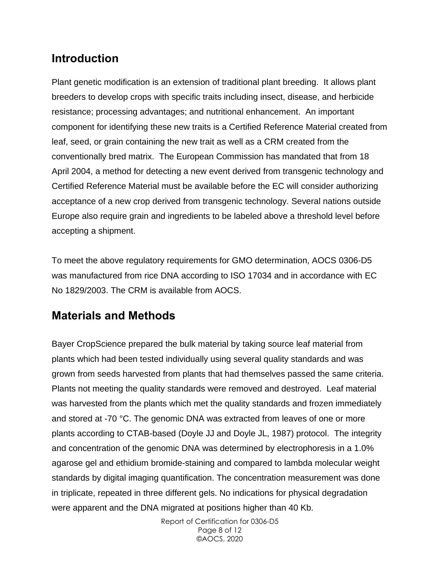### <span id="page-7-0"></span>**Introduction**

Plant genetic modification is an extension of traditional plant breeding. It allows plant breeders to develop crops with specific traits including insect, disease, and herbicide resistance; processing advantages; and nutritional enhancement. An important component for identifying these new traits is a Certified Reference Material created from leaf, seed, or grain containing the new trait as well as a CRM created from the conventionally bred matrix. The European Commission has mandated that from 18 April 2004, a method for detecting a new event derived from transgenic technology and Certified Reference Material must be available before the EC will consider authorizing acceptance of a new crop derived from transgenic technology. Several nations outside Europe also require grain and ingredients to be labeled above a threshold level before accepting a shipment.

To meet the above regulatory requirements for GMO determination, AOCS 0306-D5 was manufactured from rice DNA according to ISO 17034 and in accordance with EC No 1829/2003. The CRM is available from AOCS.

### <span id="page-7-1"></span>**Materials and Methods**

Bayer CropScience prepared the bulk material by taking source leaf material from plants which had been tested individually using several quality standards and was grown from seeds harvested from plants that had themselves passed the same criteria. Plants not meeting the quality standards were removed and destroyed. Leaf material was harvested from the plants which met the quality standards and frozen immediately and stored at -70 °C. The genomic DNA was extracted from leaves of one or more plants according to CTAB-based (Doyle JJ and Doyle JL, 1987) protocol. The integrity and concentration of the genomic DNA was determined by electrophoresis in a 1.0% agarose gel and ethidium bromide-staining and compared to lambda molecular weight standards by digital imaging quantification. The concentration measurement was done in triplicate, repeated in three different gels. No indications for physical degradation were apparent and the DNA migrated at positions higher than 40 Kb.

> Report of Certification for 0306-D5 Page 8 of 12 ©AOCS, 2020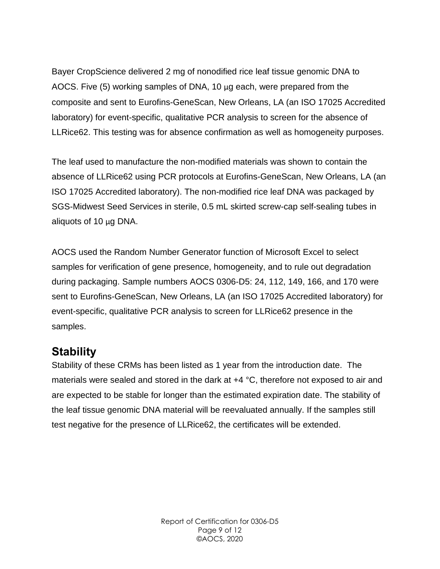Bayer CropScience delivered 2 mg of nonodified rice leaf tissue genomic DNA to AOCS. Five (5) working samples of DNA, 10 μg each, were prepared from the composite and sent to Eurofins-GeneScan, New Orleans, LA (an ISO 17025 Accredited laboratory) for event-specific, qualitative PCR analysis to screen for the absence of LLRice62. This testing was for absence confirmation as well as homogeneity purposes.

The leaf used to manufacture the non-modified materials was shown to contain the absence of LLRice62 using PCR protocols at Eurofins-GeneScan, New Orleans, LA (an ISO 17025 Accredited laboratory). The non-modified rice leaf DNA was packaged by SGS-Midwest Seed Services in sterile, 0.5 mL skirted screw-cap self-sealing tubes in aliquots of 10 μg DNA.

AOCS used the Random Number Generator function of Microsoft Excel to select samples for verification of gene presence, homogeneity, and to rule out degradation during packaging. Sample numbers AOCS 0306-D5: 24, 112, 149, 166, and 170 were sent to Eurofins-GeneScan, New Orleans, LA (an ISO 17025 Accredited laboratory) for event-specific, qualitative PCR analysis to screen for LLRice62 presence in the samples.

### <span id="page-8-0"></span>**Stability**

Stability of these CRMs has been listed as 1 year from the introduction date. The materials were sealed and stored in the dark at +4 °C, therefore not exposed to air and are expected to be stable for longer than the estimated expiration date. The stability of the leaf tissue genomic DNA material will be reevaluated annually. If the samples still test negative for the presence of LLRice62, the certificates will be extended.

> Report of Certification for 0306-D5 Page 9 of 12 ©AOCS, 2020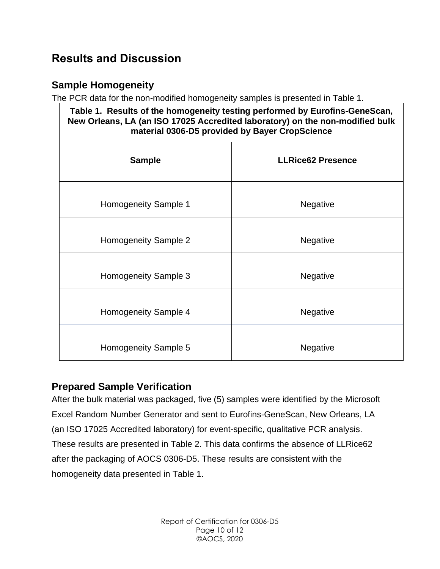## <span id="page-9-0"></span>**Results and Discussion**

#### <span id="page-9-1"></span>**Sample Homogeneity**

The PCR data for the non-modified homogeneity samples is presented in Table 1.

| Table 1. Results of the homogeneity testing performed by Eurofins-GeneScan,<br>New Orleans, LA (an ISO 17025 Accredited laboratory) on the non-modified bulk<br>material 0306-D5 provided by Bayer CropScience |                          |  |
|----------------------------------------------------------------------------------------------------------------------------------------------------------------------------------------------------------------|--------------------------|--|
| <b>Sample</b>                                                                                                                                                                                                  | <b>LLRice62 Presence</b> |  |
| Homogeneity Sample 1                                                                                                                                                                                           | Negative                 |  |
| Homogeneity Sample 2                                                                                                                                                                                           | <b>Negative</b>          |  |
| Homogeneity Sample 3                                                                                                                                                                                           | <b>Negative</b>          |  |
| Homogeneity Sample 4                                                                                                                                                                                           | <b>Negative</b>          |  |
| Homogeneity Sample 5                                                                                                                                                                                           | <b>Negative</b>          |  |

#### <span id="page-9-2"></span>**Prepared Sample Verification**

After the bulk material was packaged, five (5) samples were identified by the Microsoft Excel Random Number Generator and sent to Eurofins-GeneScan, New Orleans, LA (an ISO 17025 Accredited laboratory) for event-specific, qualitative PCR analysis. These results are presented in Table 2. This data confirms the absence of LLRice62 after the packaging of AOCS 0306-D5. These results are consistent with the homogeneity data presented in Table 1.

> Report of Certification for 0306-D5 Page 10 of 12 ©AOCS, 2020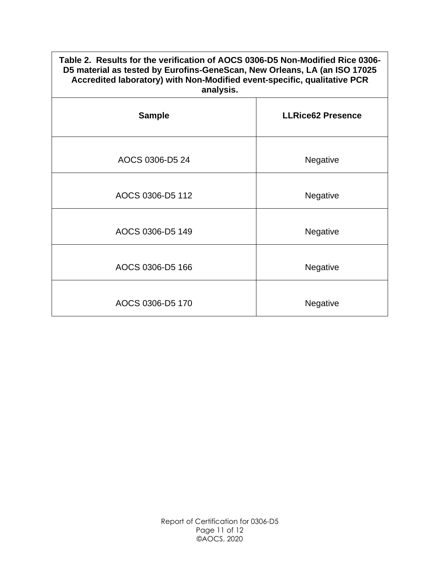#### **Table 2. Results for the verification of AOCS 0306-D5 Non-Modified Rice 0306- D5 material as tested by Eurofins-GeneScan, New Orleans, LA (an ISO 17025 Accredited laboratory) with Non-Modified event-specific, qualitative PCR analysis.**

| anaryoio.        |                          |  |
|------------------|--------------------------|--|
| <b>Sample</b>    | <b>LLRice62 Presence</b> |  |
| AOCS 0306-D5 24  | Negative                 |  |
| AOCS 0306-D5 112 | Negative                 |  |
| AOCS 0306-D5 149 | Negative                 |  |
| AOCS 0306-D5 166 | Negative                 |  |
| AOCS 0306-D5 170 | Negative                 |  |